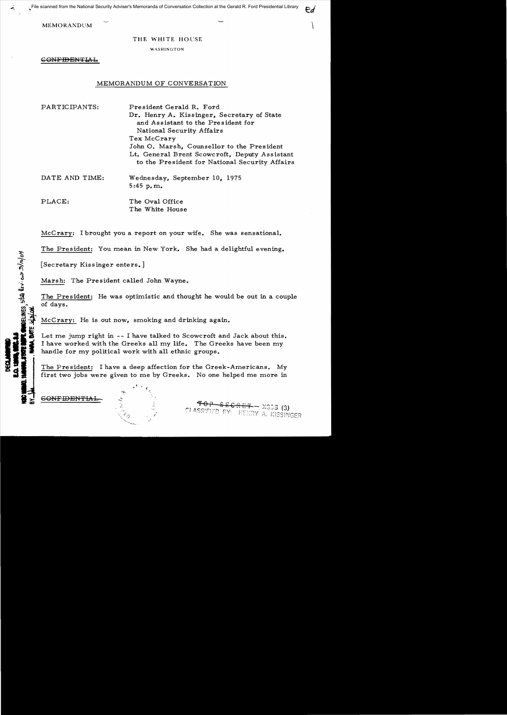MEMORANDUM  $\qquad \qquad$ 

"',

**WOELINES**, state levi as 2/10/04

#### THE WHITE HOUSE

WASHINGTON

CONFIDENTIAL

# MEMORANDUM OF CONVERSATION

| PARTICIPANTS:  | President Gerald R. Ford                                                                        |
|----------------|-------------------------------------------------------------------------------------------------|
|                | Dr. Henry A. Kissinger, Secretary of State                                                      |
|                | and Assistant to the President for                                                              |
|                | National Security Affairs                                                                       |
|                | Tex McCrary                                                                                     |
|                | John O. Marsh, Counsellor to the President                                                      |
|                | Lt. General Brent Scowcroft, Deputy Assistant<br>to the President for National Security Affairs |
| DATE AND TIME: | Wednesday, September 10, 1975                                                                   |
|                | 5:45 p.m.                                                                                       |
| PLACE:         | The Oval Office                                                                                 |
|                | The White House                                                                                 |

McCrary: I brought you a report on your wife. She was sensational.

The President: You mean in New York. She had a delightful evening.

[Secretary Kissinger enters.]

Marsh: The President called John Wayne.

The President: He was optimistic and thought he would be out in a couple of days.

McCrary: He is out now, smoking and drinking again.

Let me jump right in -- I have talked to Scowcroft and Jack about this. I have worked with the Greeks all my life. The Greeks have been my handle for my political work with all ethnic groups.

The President: I have a deep affection for the Greek-Americans. My first two jobs were given to me by Greeks. No one helped me more in

6<del>ONFIDENTIAL</del>

., .1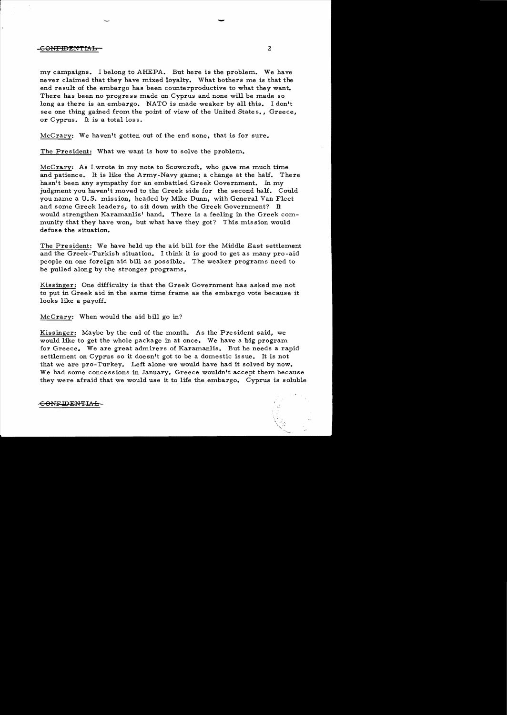## CONFIDENTIAL 2

my campaigns. I belong to AHEPA. But here is the problem. We have never claimed that they have mixed loyalty. What bothers me is that the end result of the embargo has been counterproductive to what they want. There has been no progress made on Cyprus and none will be made so long as there is an embargo. NATO is made weaker by all this. I don't see one thing gained from the point of view of the United States., Greece, or Cyprus. It is a total loss.

McCrary: We haven't gotten out of the end zone, that is for sure.

The President: What we want is how to solve the problem.

McCrary: As I wrote in my note to Scowcroft, who gave me much time and patience. It is like the Army-Navy game; a change at the half. There hasn't been any sympathy for an embattled Greek Government. In my judgment you haven't moved to the Greek side for the second half. Could you name a U. S. mission, headed by Mike Dunn, with General Van Fleet and some Greek leaders, to sit down with the Greek Government? It would strengthen Karamanlis' hand. There is a feeling in the Greek community that they have won, but what have they got? This mission would defuse the situation.

The President: We have held up the aid bill for the Middle East settlement and the Greek-Turkish situation. I think it is good to get as many pro-aid people on one foreign aid bill as possible. The weaker programs need to be pulled along by the stronger programs.

Kissinger: One difficulty is that the Greek Government has asked me not to put in Greek aid in the same time frame as the embargo vote because it looks like a payoff.

McCrary: When would the aid bill go in?

Kissinger: Maybe by the end of the month. As the President said, we would like to get the whole package in at once. We have a big program for Greece. We are great admirers of Karamanlis. But he needs a rapid settlement on Cyprus so it doesn't got to be a domestic issue. It is not that we are pro-Turkey. Left alone we would have had it solved by now. We had some concessions in January. Greece wouldn't accept them because they were afraid that we would use it to life the embargo. Cyprus is soluble

**CONFIDENTIAL** 

-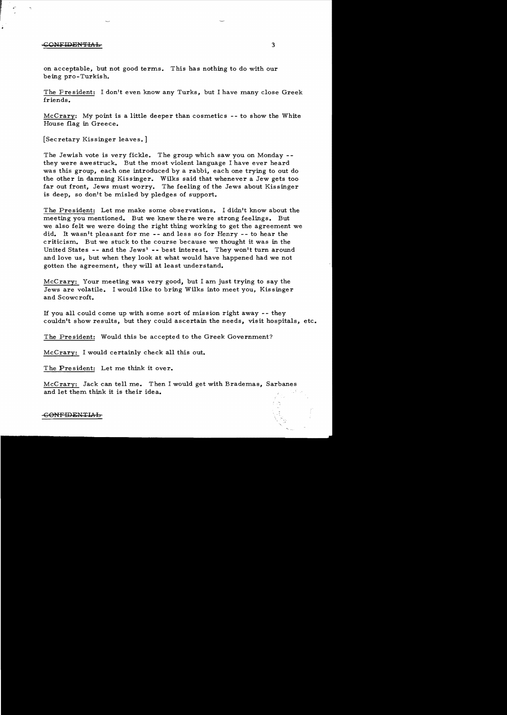## •<del>CONFIDENTIAL</del> 3

on acceptable, but not good terms. This has nothing to do with our being pro-Turkish.

The President: I don't even know any Turks, but I have many close Greek friends.

McCrary: My point is a little deeper than cosmetics  $-$ - to show the White House flag in Greece.

[Secretary Kissinger leaves.]

The Jewish vote is very fickle. The group which saw you on Monday -they were awestruck. But the most violent language I have ever heard was this group, each one introduced by a rabbi, each one trying to out do the other in damning Kissinger. Wilks said that whenever a Jew gets too far out front, Jews must worry. The feeling of the Jews about Kissinger is deep, so don't be misled by pledges of support.

The President: Let me make some observations. I didn't know about the meeting you mentioned. But we knew there were strong feelings. But we also felt we were doing the right thing working to get the agreement we did. It wasn<sup>1</sup>t pleasant for me  $-$ - and less so for Henry  $-$ - to hear the criticism.. But we stuck to the course because we thought it was in the United States -- and the Jews' -- best interest. They won't turn around and love us, but when they look at what would have happened had we not gotten the agreement, they will at least understand.

McCrary: Your meeting was very good, but I am just trying to say the Jews are volatile. I would like to bring Wilks into meet you, Kissinger and Scowcroft.

If you all could come up with some sort of mission right away  $-$ - they couldn't show results, but they could ascertain the needs, visit hospitals, etc.

The President: Would this be accepted to the Greek Government?

McCrary: I would certainly check all this out.

The President: Let me think it over.

McCrary: Jack can tell me. Then I would get with Brademas, Sarbanes and let them think it is their idea.

#### -GONFIDENTlI'd::l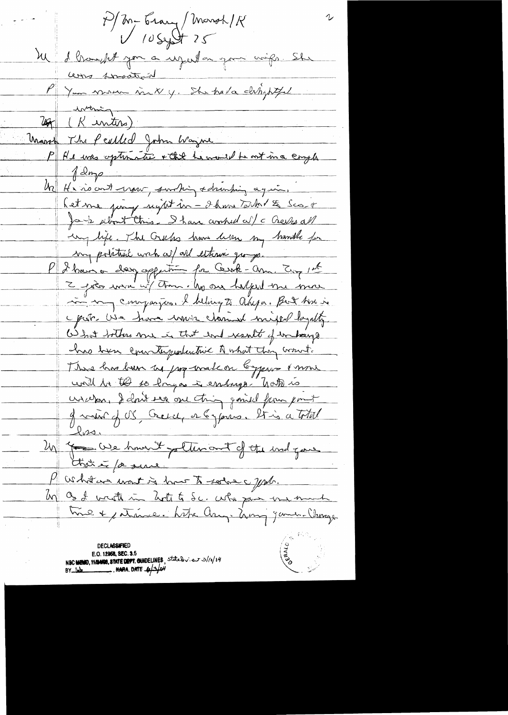P/M-Erary/Marsh/K  $1054725$ M d'Ossayt pour a uspeilleur pour voirs. She come spectral P Your more vict y. She had designed withing 25 (Kintos) Union (R inters)<br>Union The Peubled John Wayne<br>P He was optimate + the Lemonial to not in a comple  $\int d^2m\rho$ Un He no ont war , surhing schunking again. Let me juing nynt in - I han Tart 1 th Scort Ja 1/2 about Chris. I have worked all c Creeks all un life. The Greeks have leven my handle for my politiek wich we did elterni groupe. P I have a day opportuna for Gerok-am. Try 1st 2 poès more ut tomm. No one halped me more in my companyes. I believe to appa. But him in c par use have unan channel mixed layatte What bothers me in that and result of unhange has been convictigatative A what they wount. There has been us pop malcon bypare mone unit la tes so longar à endange hats is uscera, I don't see one thing gained from point 9 vier J OS, Greech, et & James, 25 is a total Un for We hownt pollenont of the und gave Marhitaire want is how to solve a John. by Os I write in Lote to Sc. who pass me much time + patrime. Like Ang. Anny James Change **DECLASSIFIED** E.O. 12958, SEC. 3.5 NSC MEMO, 11/24/08, STATE DEPT. OUNDELINES, State Dr.v. et 3/10/14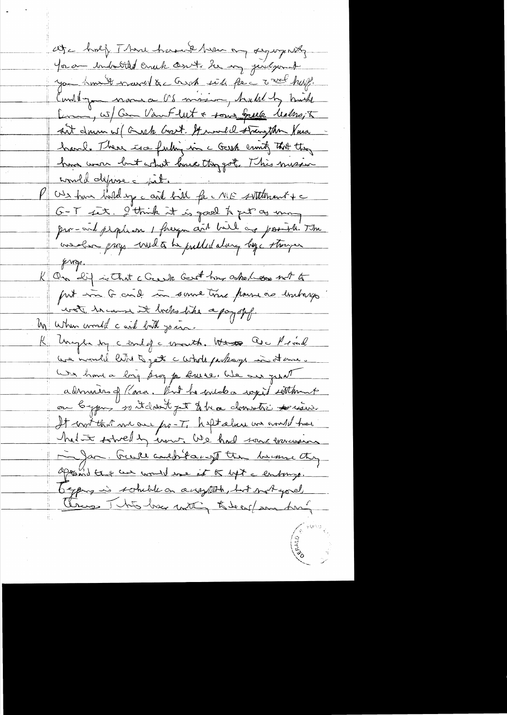ate half Than haven't hver on sympaty You am industited cruck courts be my justifient you how it want &c and with force work huff. Constitution more or US mission, hadeling mich Lim, w/ Com Van Flut + some Greek Malsso, 5 ant drive wil Grach Gort. It would strangthen Vina hand. There is a fulling in a Gash crisity that they have wear but what lance they got . This messive would dépose jul. P Us have belding a card bill for ME sittement + c G-T set. I think it is good to get as many pro-onl people on I freeze and built are posible. The insolar prop with the public along by though  $k$  way. K On dif in That c Grank Good home asked er not to put in G cind in some time pour vie butays wat he came it bodes the apapof. Un when would card but join. K Unight by cend of a worth. Work are Mind use inventil like to get a whole pubage in at me. We have a big prog p Burse, We are great admiran of Para. But he coudo a ragist settlement ou bypres so it don't get to be a donnetic possion. It wit that we are po-T, heltalme us would have had to somedly une We had some missions in Jan. Greece and bitacy the because they append that we would use at to left a entrango. begang is somble on anythin, but not you Change This has mothing to be enfrom the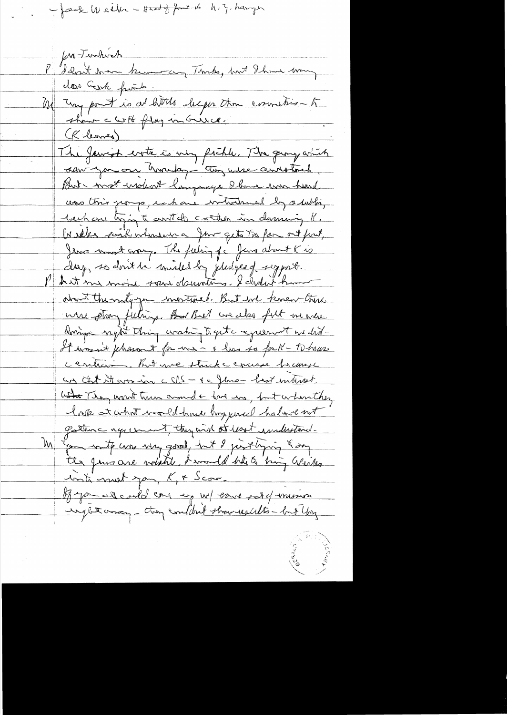- færk Weiber - Hard og fort 16 h. z. hanger

for Turkich fun Junkock<br>Idant man kun van Tunks, but Ihan von door Gerk frits. Me Jay pourt is at little deeps than correction to san-you are homeday - con use annotach. But - most indert language shows ever heard was this porp, is have introduced by a lubling tachan tying to controls control in demaning K. In seles park whenever a four gets to par out fort, Jema mont corresponding for June about Kis day, se dont la middle la judge de segurt. P hat me mond sour demotion. I didn't hum about the maty you invitanced. But ind knew there were ptrong feelings. But that we also full me were dorige nytt thing washing toget a cqueenot we did-Himmer's phason & for me - & has so for K - to have cention, But we struck course brange un that it are in  $CVS - \epsilon = \{ \omega \}$  who has internet What They want twee amount to the way but when they look at what would have bry paced habove not gather agreement, they wish at lost indicational. In Gon with was very good, but I justlying Kong the gree are worked bround his ting winter inté must pan, K & Scor. of you all could can exp w/ earne post of mission unget once, they couldn't strawicalits - but they